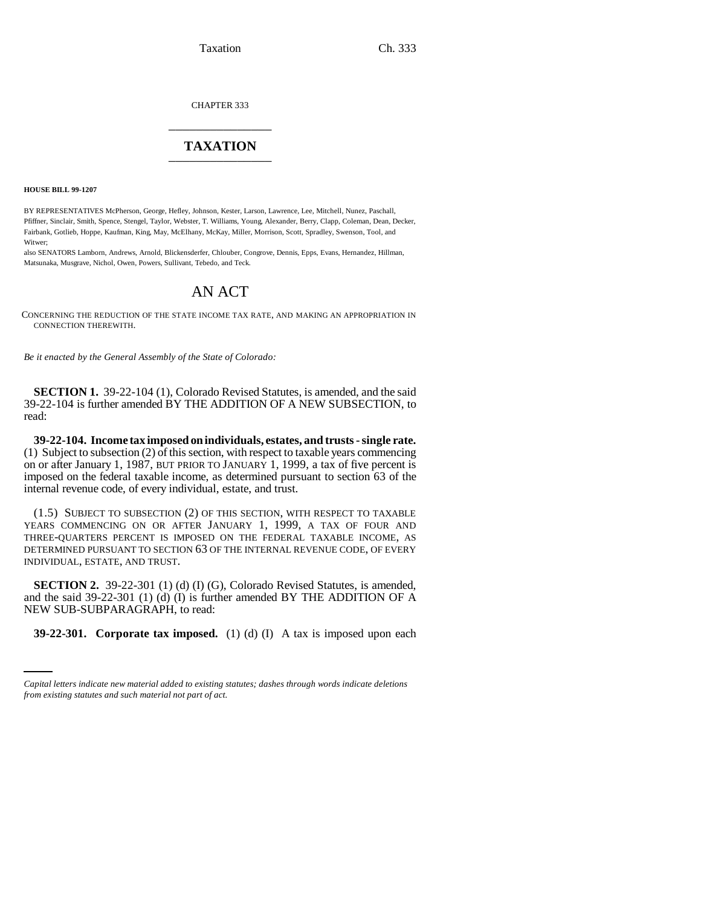Taxation Ch. 333

CHAPTER 333 \_\_\_\_\_\_\_\_\_\_\_\_\_\_\_

## **TAXATION** \_\_\_\_\_\_\_\_\_\_\_\_\_\_\_

**HOUSE BILL 99-1207** 

BY REPRESENTATIVES McPherson, George, Hefley, Johnson, Kester, Larson, Lawrence, Lee, Mitchell, Nunez, Paschall, Pfiffner, Sinclair, Smith, Spence, Stengel, Taylor, Webster, T. Williams, Young, Alexander, Berry, Clapp, Coleman, Dean, Decker, Fairbank, Gotlieb, Hoppe, Kaufman, King, May, McElhany, McKay, Miller, Morrison, Scott, Spradley, Swenson, Tool, and Witwer;

also SENATORS Lamborn, Andrews, Arnold, Blickensderfer, Chlouber, Congrove, Dennis, Epps, Evans, Hernandez, Hillman, Matsunaka, Musgrave, Nichol, Owen, Powers, Sullivant, Tebedo, and Teck.

## AN ACT

CONCERNING THE REDUCTION OF THE STATE INCOME TAX RATE, AND MAKING AN APPROPRIATION IN CONNECTION THEREWITH.

*Be it enacted by the General Assembly of the State of Colorado:*

**SECTION 1.** 39-22-104 (1), Colorado Revised Statutes, is amended, and the said 39-22-104 is further amended BY THE ADDITION OF A NEW SUBSECTION, to read:

**39-22-104. Income tax imposed on individuals, estates, and trusts - single rate.** (1) Subject to subsection (2) of this section, with respect to taxable years commencing on or after January 1, 1987, BUT PRIOR TO JANUARY 1, 1999, a tax of five percent is imposed on the federal taxable income, as determined pursuant to section 63 of the internal revenue code, of every individual, estate, and trust.

(1.5) SUBJECT TO SUBSECTION (2) OF THIS SECTION, WITH RESPECT TO TAXABLE YEARS COMMENCING ON OR AFTER JANUARY 1, 1999, A TAX OF FOUR AND THREE-QUARTERS PERCENT IS IMPOSED ON THE FEDERAL TAXABLE INCOME, AS DETERMINED PURSUANT TO SECTION 63 OF THE INTERNAL REVENUE CODE, OF EVERY INDIVIDUAL, ESTATE, AND TRUST.

NEW SUB-SUBPARAGRAPH, to read: **SECTION 2.** 39-22-301 (1) (d) (I) (G), Colorado Revised Statutes, is amended, and the said 39-22-301 (1) (d) (I) is further amended BY THE ADDITION OF A

**39-22-301. Corporate tax imposed.** (1) (d) (I) A tax is imposed upon each

*Capital letters indicate new material added to existing statutes; dashes through words indicate deletions from existing statutes and such material not part of act.*